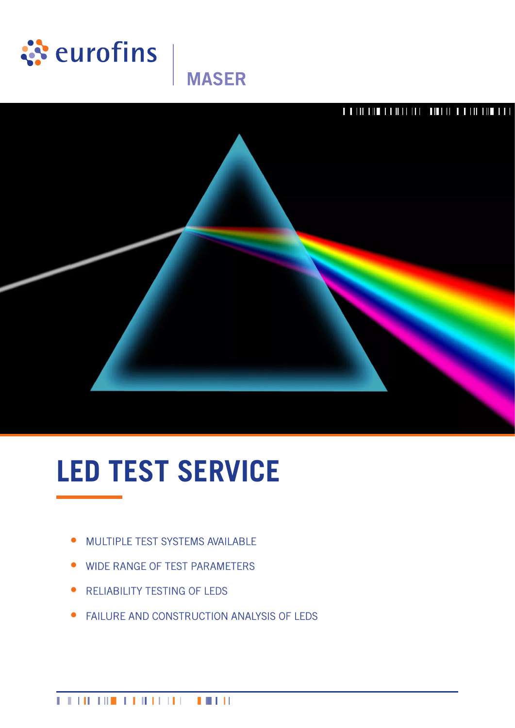

## **MASER**



# **LED TEST SERVICE**

- MULTIPLE TEST SYSTEMS AVAILABLE
- WIDE RANGE OF TEST PARAMETERS
- **RELIABILITY TESTING OF LEDS**
- **FAILURE AND CONSTRUCTION ANALYSIS OF LEDS**